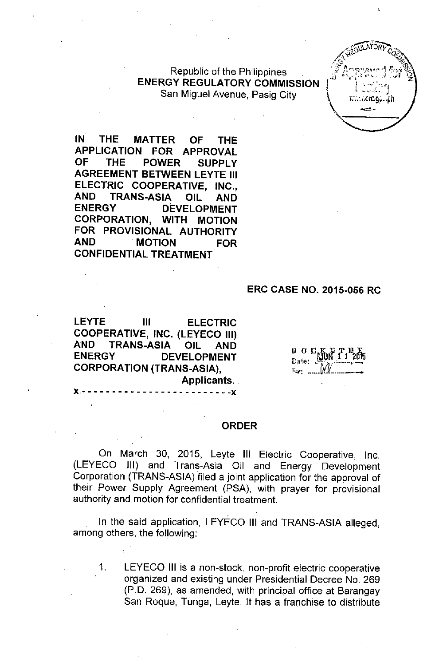Republic of the Philippines ENERGY REGULATORY COMMISSION San Miguel Avenue, Pasig City



IN THE MATTER OF THE APPLICATION FOR APPROVAL OF THE POWER SUPPLY AGREEMENT BETWEEN LEYTE III ELECTRIC COOPERATIVE, INC., AND TRANS-ASIA OIL AND ENERGY DEVELOPMENT CORPORATION, WITH MOTION FOR PROVISIONAL AUTHORITY AND MOTION FOR CONFIDENTIAL TREATMENT

#### ERC CASE NO. 2015-056 RC

LEYTE III ELECTRIC COOPERATIVE, INC. (LEYECO III) AND TRANS-ASIA OIL AND ENERGY DEVELOPMENT CORPORATION (TRANS-ASIA), Applicants.  $X - - - - - - - - - - - - - - - - - - - - - - - - - - - - -$ 

*lJ* 0.n/~\Jlffl~~5 Date. *..-(l1r .....--~.-*  $\mathbb{R}$ y: ..... $\mathbb{M}$ 

#### ORDER

On March 30, 2015, Leyte III Electric Cooperative, Inc. (LEYECO JlI) and Trans-Asia Oil and Energy Development Corporation (TRANS-ASIA) filed a joint application for the approval of their Power Supply Agreement (PSA), with prayer for provisional authority and motion for confidential treatment.

In the said application, LEYECO III and TRANS-ASIA alleged, among others, the following:

1. LEYECO III is a non-stock, non-profit electric cooperative organized and existing under Presidential Decree No. 269 (P.D. 269), as amended, with principal office at Barangay San Roque, Tunga, Leyte. It has a franchise to distribute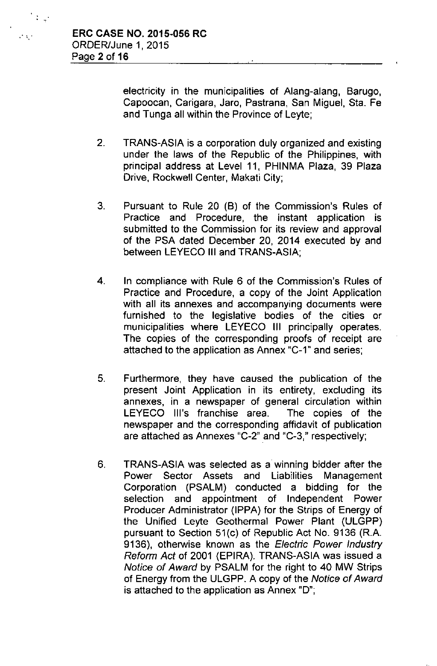$\mathcal{L}^{\mathcal{L}}$ 

 $\mathbb{E}[\mathbb{Q}]$ 

electricity in the municipalities of Alang-alang, Barugo, Capoocan, Carigara, Jaro, Pastrana, San Miguel, Sta. Fe and Tunga all within the Province of Leyte;

- 2. TRANS-ASIA is a corporation duly organized and existing under the laws of the Republic of the Philippines, with principal address at Level 11, PHINMA Plaza, 39 Plaza Drive, Rockwell Center, Makati City;
- 3. Pursuant to Rule 20 (B) of the Commission's Rules of Practice and Procedure, the instant application is submitted to the Commission for its review and approval of the PSA dated December 20, 2014 executed by and between LEYECO **III** and TRANS-ASIA;
- 4. **In** compliance with Rule 6 of the Commission's Rules of Practice and Procedure, a copy of the Joint Application with all its annexes and accompanying documents were furnished to the legislative bodies of the cities or municipalities where LEYECO **III** principally operates. The copies of the corresponding proofs of receipt are attached to the application as Annex "C-1" and series;
- 5. Furthermore, they have caused the publication of the present Joint Application in its entirety, excluding its annexes, in a newspaper of general circulation within LEYECO Ill's franchise area. The copies of the newspaper and the corresponding affidavit of publication are attached as Annexes "C-2" and "C-3," respectively;
- 6. TRANS-ASIA was selected as a winning bidder after the Power Sector Assets and Liabilities Management Corporation (PSALM) conducted a bidding for the selection and appointment of Independent Power Producer Administrator (IPPA) for the Strips of Energy of the Unified Leyte Geothermal Power Plant (ULGPP) pursuant to Section 51(c) of Republic Act No. 9136 (R.A. 9136), otherwise known as the *Electric Power Industry Reform Act* of 2001 (EPIRA). TRANS-ASIA was issued a *Notice of Award* by PSALM for the right to 40 MW Strips of Energy from the ULGPP. A copy of the *Notice of Award* is attached to the application as Annex  $"D"$ ;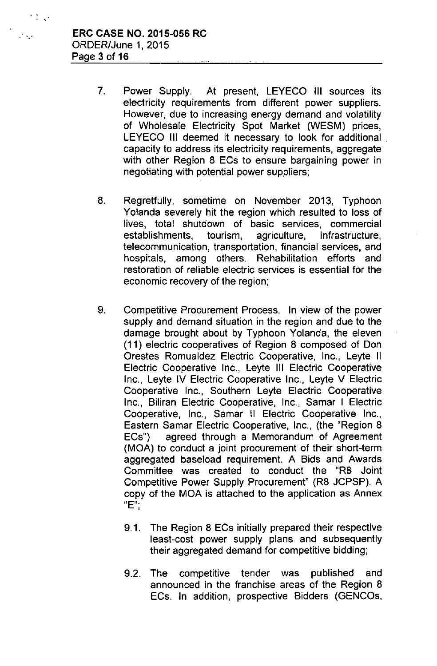,  $\cdot$  ,  $\cdot$ 

 $\mathbb{C}^{\frac{1}{2}}$  ,  $\mathbb{C}^{\frac{1}{2}}$ 

- 7. Power Supply. At present, LEYECO III sources its electricity requirements from different power suppliers. However, due to increasing energy demand and volatility of Wholesale Electricity Spot Market (WESM) prices, LEYECO III deemed it necessary to look for additional capacity to address its electricity requirements, aggregate with other Region 8 ECs to ensure bargaining power in negotiating with potential power suppliers;
- 8. Regretfully, sometime on November 2013, Typhoon Yolanda severely hit the region which resulted to loss of lives, total shutdown of basic services, commercial establishments, tourism, agriculture, infrastructure, telecommunication, transportation, financial services, and hospitals, among others. Rehabilitation efforts and restoration of reliable electric services is essential for the economic recovery of the region;
- 9. Competitive Procurement Process. In view of the power supply and demand situation in the region and due to the damage brought about by Typhoon Yolanda, the eleven (11) electric cooperatives of Region 8 composed of Don Orestes Romualdez Electric Cooperative, Inc., Leyte II Electric Cooperative Inc., Leyte III Electric Cooperative Inc., Leyte IV Electric Cooperative Inc., Leyte V Electric Cooperative Inc., Southern Leyte Electric Cooperative Inc., Biliran Electric Cooperative, Inc., Samar I Electric Cooperative, Inc., Samar II Electric Cooperative Inc., Eastern Samar Eiectric Cooperative, Inc., (the "Region 8 ECs") agreed through a Memorandum of Agreement (MOA) to conduct a joint procurement of their short-term aggregated baseload requirement. A Bids and Awards Committee was created to conduct the "R8 Joint Competitive Power Supply Procurement" (R8 JCPSP). A copy of the MOA is attached to the application as Annex "E";
	- 9.1. The Region 8 ECs initially prepared their respective least-cost power supply plans and subsequently their aggregated demand for competitive bidding;
	- 9.2. The competitive tender was published and announced in the franchise areas of the Region 8 ECs. In addition, prospective Bidders (GENCOs,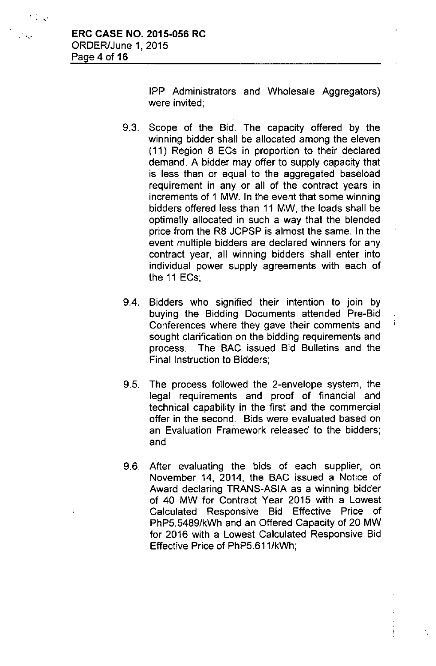**. '.'**

,

IPP Administrators and Wholesale Aggregators) were invited;

- 9.3. Scope of the Bid. The capacity offered by the winning bidder shall be allocated among the eleven (11) Region 8 ECs in proportion to their declared demand. A bidder may offer to supply capacity that is less than or equal to the aggregated baseload requirement in any or all of the contract years in increments of 1 MW. In the event that some winning bidders offered less than 11 MW, the loads shall be optimally allocated in such a way that the blended price from the R8 JCPSP is almost the same. In the event multiple bidders are declared winners for any contract year, all winning bidders shall enter into individual power supply agreements with each of the 11 ECs;
- 9.4. Bidders who signified their intention to join by buying the Bidding Documents attended Pre-Bid Conferences where they gave their comments and sought clarification on the bidding requirements and process. The BAC issued Bid Bulletins and the Final Instruction to Bidders;
- 9.5. The process followed the 2-envelope system, the legal requirements and proof of financial and technical capability in the first and the commercial offer in the second. Bids were evaluated based on an Evaluation Framework released to the bidders; and
- 9.6. After evaluating the bids of each supplier, on November 14, 2014, the BAC issued a Notice of Award declaring TRANS-ASIA as a winning bidder of 40 MW for Contract Year 2015 with a Lowest Calculated Responsive Bid Effective Price of PhP5.5489/kWh and an Offered Capacity of 20 MW for 2016 with a Lowest Calculated Responsive Bid Effective Price of PhP5.611/kWh;

 $\mathfrak{f}$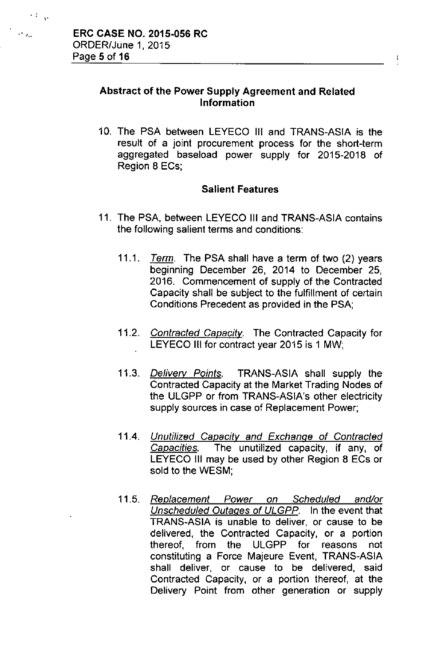,  $\mathcal{L}_{\mathbf{v}}$ 

### Abstract of the Power Supply Agreement and Related Information

10. The PSA between LEYECO III and TRANS-ASIA is the result of a joint procurement process for the short-term aggregated baseioad power supply for 2015-2018 of Region 8 ECs;

### Salient Features

- 11. The PSA, between LEYECO III and TRANS-ASIA contains the following salient terms and conditions:
	- *11.1. Term.* The PSA shall have a term of two (2) years beginning December 26, 2014 to December 25, 2016. Commencement of supply of the Contracted Capacity shall be subject to the fulfillment of certain Conditions Precedent as provided in the PSA;
	- *11.2. Contracted Capacity.* The Contracted Capacity for LEYECO III for contract year 2015 is 1 MW;
	- *11.3. Delivery Points.* TRANS-ASIA shall supply the Contracted Capacity at the Market Trading Nodes of the ULGPP or from TRANS-ASiA's other electricity supply sources in case of Replacement Power;
	- *11.4. Unutilized Capacity and Exchange* of *Contracted Capacities.* The unutilized capacity, if any, of LEYECO III may be used by other Region 8 ECs or sold to the WESM;
	- *11.5. Replacement Power on Scheduled and/or Unscheduled Outages* of *ULGPP.* In the event that TRANS-ASIA is unable to deliver, or cause to be delivered, the Contracted Capacity, or a portion thereof, from the ULGPP for reasons not constituting a Force Majeure Event, TRANS-ASIA shall deliver, or cause to be delivered, said Contracted Capacity, or a portion thereof, at the Delivery Point from other generation or supply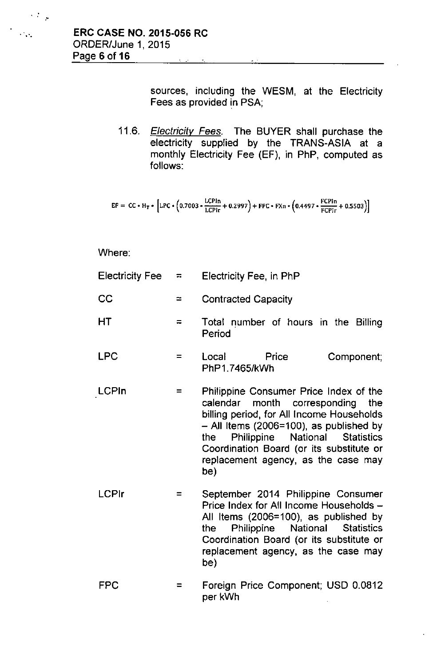."

 $\mathcal{O}(\sqrt{2})$ 

sources, including the WESM, at the Electricity Fees as provided in PSA;

*11.6. Electricity Fees.* The BUYER shall purchase the electricity supplied by the TRANS-ASIA at a monthly Electricity Fee (EF), in PhP, computed as follows:

$$
EF = CC * H_T * [LPC * (0.7003 * \frac{LCPIn}{LCPIr} + 0.2997) + FPC * FXn * (0.4497 * \frac{FCPin}{FCPIr} + 0.5503)]
$$

Where:

| <b>Electricity Fee</b> | $\overline{a}$ | Electricity Fee, in PhP                                                                                                                                                                                                                                                                                       |  |  |
|------------------------|----------------|---------------------------------------------------------------------------------------------------------------------------------------------------------------------------------------------------------------------------------------------------------------------------------------------------------------|--|--|
| CC                     | $\equiv$       | <b>Contracted Capacity</b>                                                                                                                                                                                                                                                                                    |  |  |
| HT                     | ≂              | Total number of hours in the Billing<br>Period                                                                                                                                                                                                                                                                |  |  |
| <b>LPC</b>             | $=$            | Local Local<br>Price<br>Component;<br>PhP1.7465/kWh                                                                                                                                                                                                                                                           |  |  |
| LCPIn                  | =              | Philippine Consumer Price Index of the<br>month corresponding<br>calendar<br>the<br>billing period, for All Income Households<br>$-$ All Items (2006=100), as published by<br>Philippine National Statistics<br>the<br>Coordination Board (or its substitute or<br>replacement agency, as the case may<br>be) |  |  |
| <b>LCPIr</b>           | =              | September 2014 Philippine Consumer<br>Price Index for All Income Households -<br>All Items (2006=100), as published by<br>Philippine National Statistics<br>the<br>Coordination Board (or its substitute or<br>replacement agency, as the case may<br>be)                                                     |  |  |

FPC  $=$ Foreign Price Component; USD 0.0812 per kWh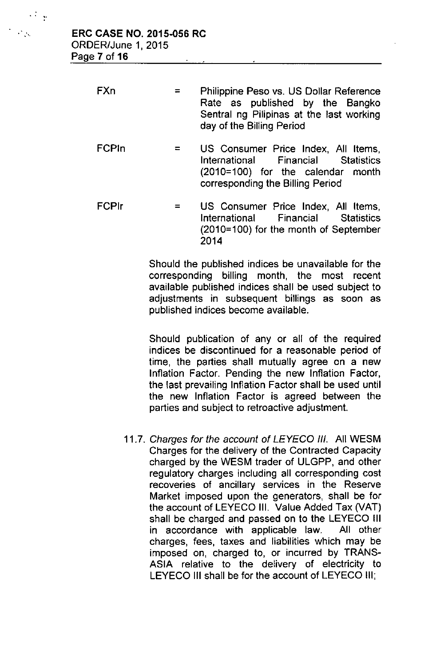| $\mathcal{L}_{\rm{max}}$ | <b>ERC CASE NO. 2015-056 RC</b> |
|--------------------------|---------------------------------|
|                          | ORDER/June 1, 2015              |
|                          | Page 7 of 16                    |

**.. ,.**

| FXn | $\equiv$ | Philippine Peso vs. US Dollar Reference  |  |  |
|-----|----------|------------------------------------------|--|--|
|     |          | Rate as published by the Bangko          |  |  |
|     |          | Sentral ng Pilipinas at the last working |  |  |
|     |          | day of the Billing Period                |  |  |

- FCPln  $=$ US Consumer Price Index, All Items, International Financial Statistics (2010=100) for the calendar month corresponding the Billing Period
- FCPlr = US Consumer Price Index, All Items, International Financial Statistics (2010=100) for the month of September 2014

Should the published indices be unavailable for the corresponding billing month, the most recent available published indices shall be used subject to adjustments in subsequent billings as soon as published indices become available.

Should publication of any or all of the required indices be discontinued for a reasonable period of time, the parties shall mutually agree on a new Inflation Factor. Pending the new Inflation Factor, the last prevailing Inflation Factor shall be used until the new Inflation Factor is agreed between the parties and subject to retroactive adjustment.

*11.7. Charges for the account of LEYECO III.* All WESM Charges for the delivery of the Contracted Capacity charged by the WESM trader of ULGPP, and other regulatory charges including all corresponding cost recoveries of ancillary services in the Reserve Market imposed upon the generators, shall be for the account of LEYECO III. Value Added Tax (VAT) shall be charged and passed on to the LEYECO III in accordance with applicable law. All other charges, fees, taxes and liabilities which may be imposed on, charged to, or incurred by TRANS-ASIA relative to the delivery of electricity to LEYECO III shall be for the account of LEYECO III;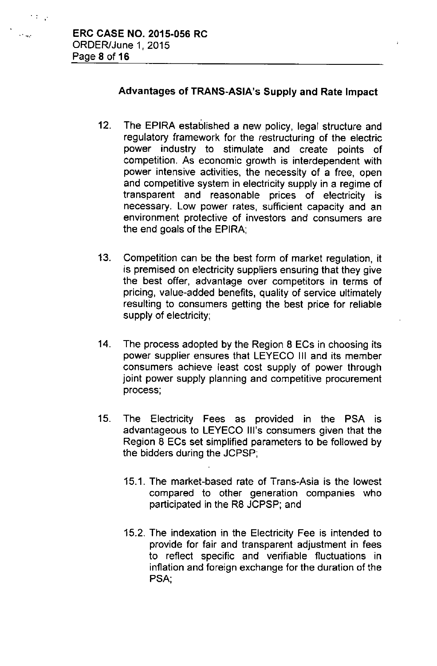# Advantages of TRANS-ASIA's Supply and Rate Impact

- 12. The EPIRA established a new policy, legal structure and regulatory framework for the restructuring of the electric power industry to stimulate and create points of competition. As economic growth is interdependent with power intensive activities, the necessity of a free, open and competitive system in electricity supply in a regime of transparent and reasonable prices of electricity is necessary. Low power rates, sufficient capacity and an environment protective of investors and consumers are the end goals of the EPIRA;
- 13. Competition can be the best form of market regulation, it is premised on electricity suppliers ensuring that they give the best offer, advantage over competitors in terms of pricing, value-added benefits, quality of service ultimately resulting to consumers getting the best price for reliable supply of electricity;
- 14. The process adopted by the Region 8 ECs in choosing its power supplier ensures that LEYECO III and its member consumers achieve least cost supply of power through joint power supply planning and competitive procurement process;
- 15. The Electricity Fees as provided in the PSA is advantageous to LEYECO Ill's consumers given that the Region 8 ECs set simplified parameters to be followed by the bidders during the JCPSP;
	- 15.1. The market-based rate of Trans-Asia is the lowest compared to other generation companies who participated in the R8 JCPSP; and
	- 15.2. The indexation in the Electricity Fee is intended to provide for fair and transparent adjustment in fees to reflect specific and verifiable fluctuations in inflation and foreign exchange for the duration of the PSA',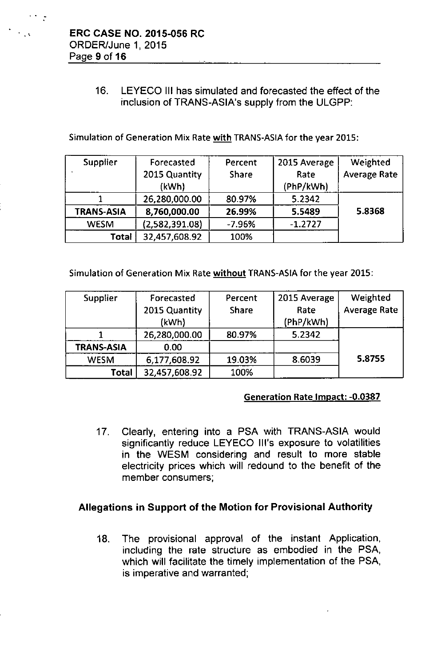$\cdots$  :

# 16. LEYECO III has simulated and forecasted the effect of the inclusion of TRANS-ASIA's supply from the ULGPP:

Simulation of Generation Mix Rate with TRANS-ASIA for the year 2015:

| <b>Supplier</b> | Forecasted     | Percent      | 2015 Average | Weighted            |
|-----------------|----------------|--------------|--------------|---------------------|
|                 | 2015 Quantity  | <b>Share</b> | Rate         | <b>Average Rate</b> |
|                 | (kWh)          |              | (PhP/kWh)    |                     |
|                 | 26,280,000.00  | 80.97%       | 5.2342       |                     |
| TRANS-ASIA      | 8,760,000.00   | 26.99%       | 5.5489       | 5.8368              |
| <b>WESM</b>     | (2,582,391.08) | $-7.96%$     | $-1.2727$    |                     |
| Total           | 32,457,608.92  | 100%         |              |                     |

Simulation of Generation Mix Rate without TRANS-ASIA for the year 2015:

| <b>Supplier</b>   | Forecasted    | Percent      | 2015 Average | Weighted            |
|-------------------|---------------|--------------|--------------|---------------------|
|                   | 2015 Quantity | <b>Share</b> | Rate         | <b>Average Rate</b> |
|                   | (kWh)         |              | (PhP/kWh)    |                     |
|                   | 26,280,000.00 | 80.97%       | 5.2342       |                     |
| <b>TRANS-ASIA</b> | 0.00          |              |              |                     |
| <b>WESM</b>       | 6,177,608.92  | 19.03%       | 8.6039       | 5.8755              |
| Total             | 32,457,608.92 | 100%         |              |                     |

### Generation Rate Impact: -0.0387

17. Clearly, entering into a PSA with TRANS-ASIA would significantly reduce LEYECO Ill's exposure to volatilities in the WESM considering and result to more stable electricity prices which will redound to the benefit of the member consumers;

# Allegations in Support of the Motion for Provisional Authority

18. The provisional approval of the instant Application, including the rate structure as embodied in the PSA, which will facilitate the timely implementation of the PSA, is imperative and warranted;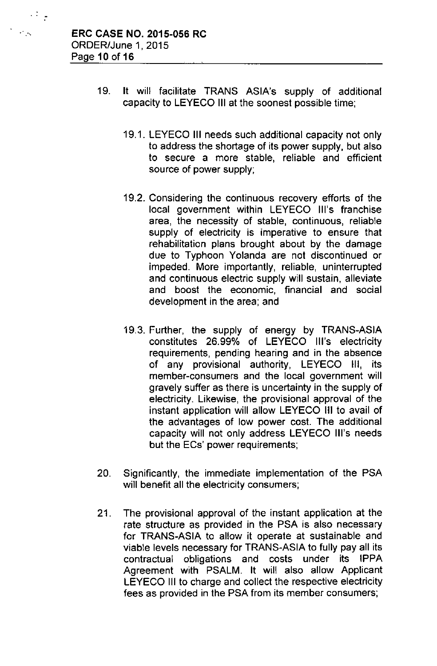. <br> <br> : <br> <br> -

- 19. It will facilitate TRANS ASIA's supply of additional capacity to LEYECO III at the soonest possible time;
	- 19.1. LEYECO III needs such additional capacity not only to address the shortage of its power supply, but also to secure a more stable, reliable and efficient source of power supply;
	- 19.2. Considering the continuous recovery efforts of the local government within LEYECO Ill's franchise area, the necessity of stable, continuous, reliable supply of electricity is imperative to ensure that rehabilitation plans brought about by the damage due to Typhoon Yolanda are not discontinued or impeded. More importantly, reliable, uninterrupted and continuous electric supply will sustain, alleviate and boost the economic, financial and social development in the area; and
	- 19.3. Further, the supply of energy by TRANS-ASIA constitutes 26.99% of LEYECO Ill's electricity requirements, pending hearing and in the absence of any provisional authority, LEYECO III, its member-consumers and the local government will gravely suffer as there is uncertainty in the supply of electricity. Likewise, the provisional approval of the instant application will allow LEYECO III to avail of the advantages of low power cost. The additional capacity will not only address LEYECO Ill's needs but the ECs' power requirements;
- 20. Significantly, the immediate implementation of the PSA will benefit all the electricity consumers;
- 21. The provisional approval of the instant application at the rate structure as provided in the PSA is also necessary for TRANS-ASIA to allow it operate at sustainable and viable levels necessary for TRANS-ASIA to fully pay all its contractual obligations and costs under its IPPA Agreement with PSALM. It will also allow Applicant LEYECO III to charge and collect the respective electricity fees as provided in the PSA from its member consumers;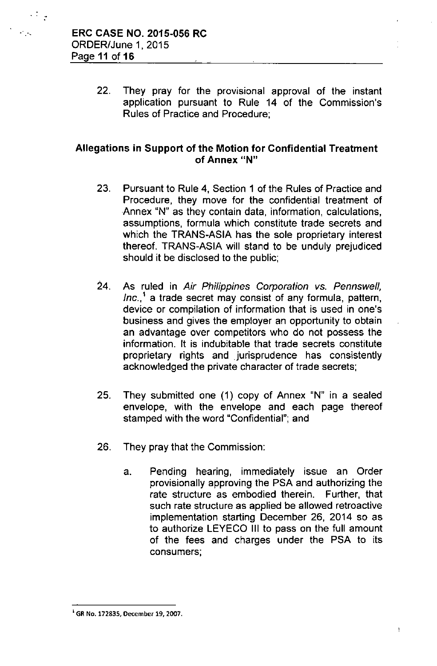$\mathbb{R}^4$ 

22. They pray for the provisional approval of the instant application pursuant to Rule 14 of the Commission's Rules of Practice and Procedure;

# Allegations in Support of the Motion for Confidential Treatment **of Annex liN"**

- 23. Pursuant to Rule 4, Section 1 of the Rules of Practice and Procedure, they move for the confidential treatment of Annex "N" as they contain data, information, calculations, assumptions, formula which constitute trade secrets and which the TRANS-ASIA has the sole proprietary interest thereof. TRANS-ASIA will stand to be unduly prejudiced should it be disclosed to the public;
- 24. As ruled in *Air Philippines Corporation vs. Pennswell, Inc.,'* a trade secret may consist of any formula, pattern, device or compilation of information that is used in one's business and gives the employer an opportunity to obtain an advantage over competitors who do not possess the information. It is indubitable that trade secrets constitute proprietary rights and jurisprudence has consistently acknowledged the private character of trade secrets;
- 25. They submitted one (1) copy of Annex "N" in a sealed envelope, with the envelope and each page thereof stamped with the word "Confidential"; and
- 26. They pray that the Commission:
	- a. Pending hearing, immediately issue an Order provisionally approving the PSA and authorizing the rate structure as embodied therein. Further, that such rate structure as applied be allowed retroactive implementation starting December 26, 2014 so as to authorize LEYECO III to pass on the full amount of the fees and charges under the PSA to its consumers;

 $<sup>1</sup>$  GR No. 172835, December 19, 2007.</sup>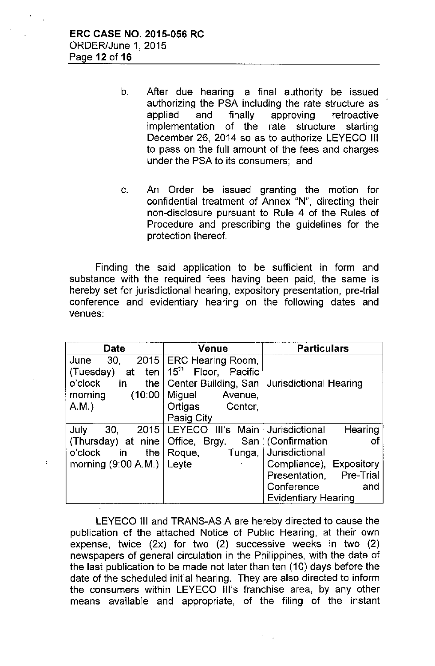- b. After due hearing, a final authority be issued authorizing the PSA including the rate structure as applied and finally approving retroactive implementation of the rate structure starting December 26, 2014 so as to authorize LEYECO III to pass on the full amount of the fees and charges under the PSA to its consumers; and
- c. An Order be issued granting the motion for confidential treatment of Annex "N", directing their non-disclosure pursuant to Rule 4 of the Rules of Procedure and prescribing the guidelines for the protection thereof.

Finding the said application to be sufficient in form and substance with the required fees having been paid, the same is hereby set for jurisdictional hearing, expository presentation, pre-trial conference and evidentiary hearing on the following dates and venues:

| <b>Date</b>               | <b>Venue</b>                       | <b>Particulars</b>         |  |
|---------------------------|------------------------------------|----------------------------|--|
| 2015<br>30.<br>June       | <b>ERC Hearing Room,</b>           |                            |  |
| (Tuesday)<br>ten l<br>at  | $15^{\text{th}}$<br>Floor, Pacific |                            |  |
| o'clock<br>in.<br>the $ $ | Center Building, San               | Jurisdictional Hearing     |  |
| (10:00)<br>morning        | Miguel<br>Avenue,                  |                            |  |
| A.M.                      | Ortigas<br>Center,                 |                            |  |
|                           | Pasig City                         |                            |  |
| July<br>2015<br>30.       | LEYECO III's Main                  | Jurisdictional<br>Hearing  |  |
| $(Thusday)$ at nine       | Office, Brgy.                      | οf                         |  |
| o'clock<br>the $ $<br>in. | Roque,<br>Tunga,                   | Jurisdictional             |  |
| morning $(9:00 A.M.)$     | Leyte                              | Compliance), Expository    |  |
|                           |                                    | Presentation, Pre-Trial    |  |
|                           |                                    | Conference<br>and          |  |
|                           |                                    | <b>Evidentiary Hearing</b> |  |

LEYECO III and TRANS-ASIA are hereby directed to cause the publication of the attached Notice of Public Hearing, at their own expense, twice (2x) for two (2) successive weeks in two (2) newspapers of general circulation in the Philippines, with the date of the last publication to be made not later than ten (10) days before the date of the scheduled initial hearing. They are also directed to inform the consumers within LEYECO Ill's franchise area, by any other means available and appropriate, of the filing of the instant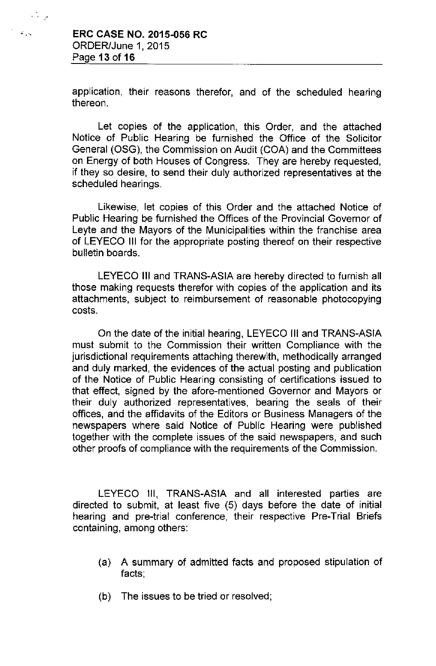$\frac{1}{2} \frac{1}{2} \frac{1}{2}$ 

application, their reasons therefor, and of the scheduled hearing thereon.

Let copies of the application, this Order, and the attached Notice of Public Hearing be furnished the Office of the Solicitor General (OSG), the Commission on Audit (COA) and the Committees on Energy of both Houses of Congress. They are hereby requested, if they so desire, to send their duly authorized representatives at the scheduled hearings.

Likewise, let copies of this Order and the attached Notice of Public Hearing be furnished the Offices of the Provincial Governor of Leyte and the Mayors of the Municipalities within the franchise area of LEYECO **III** for the appropriate posting thereof on their respective bulletin boards.

LEYECO **III** and TRANS-ASIA are hereby directed to furnish all those making requests therefor with copies of the application and its attachments, subject to reimbursement of reasonable photocopying costs.

On the date of the initial hearing, LEYECO III and TRANS-ASIA must submit to the Commission their written Compliance with the jurisdictional requirements attaching therewith, methodically arranged and duly marked, the evidences of the actual posting and publication of the Notice of Public Hearing consisting of certifications issued to that effect, signed by the afore-mentioned Governor and Mayors or their duly authorized representatives, bearing the seals of their offices, and the affidavits of the Editors or Business Managers of the newspapers where said Notice of Public Hearing were published together with the complete issues of the said newspapers, and such other proofs of compliance with the requirements of the Commission.

LEYECO III, TRANS-ASIA and all interested parties are directed to submit, at least five (5) days before the date of initial hearing and pre-trial conference, their respective Pre-Trial Briefs containing, among others:

- (a) A summary of admitted facts and proposed stipulation of facts;
- (b) The issues to be tried or resolved;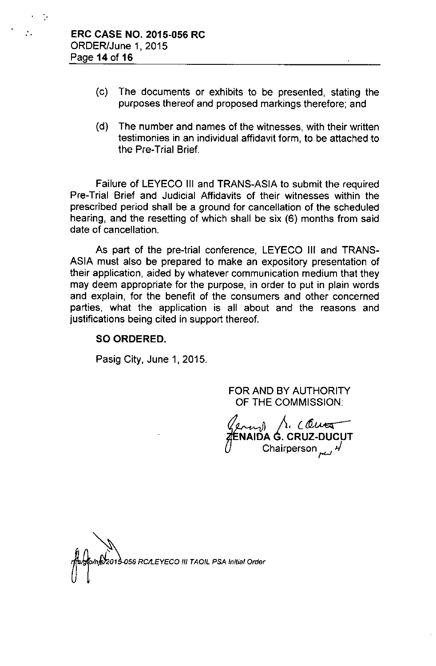- (c) The documents or exhibits to be presented, stating the purposes thereof and proposed markings therefore; and
- *(d)* The number and names of the witnesses, with their written testimonies in an individual affidavit form, to be attached to the Pre-Trial Brief.

Failure of LEYECO III and TRANS-ASIA to submit the required Pre-Trial Brief and Judicial Affidavits of their witnesses within the prescribed period shall be a ground for cancellation of the scheduled hearing, and the resetting of which shall be six (6) months from said date of cancellation.

As part of the pre-trial conference, LEYECO III and TRANS-ASIA must also be prepared to make an expository presentation of their application, aided by whatever communication medium that they may deem appropriate for the purpose, in order to put in plain words and explain, for the benefit of the consumers and other concerned parties, what the application is all about and the reasons and justifications being cited in support thereof.

### **SO ORDERED.**

Pasig City, June 1, 2015.

FOR AND BY AUTHORITY OF THE COMMISSION:

71€<br>()  $\sim$ **NAIDA G. 'CRUZ-DUCUT** Chairperson r'--' *,j*

**Momet 2013-056 RCALEYECO III TAOIL PSA Initial Order**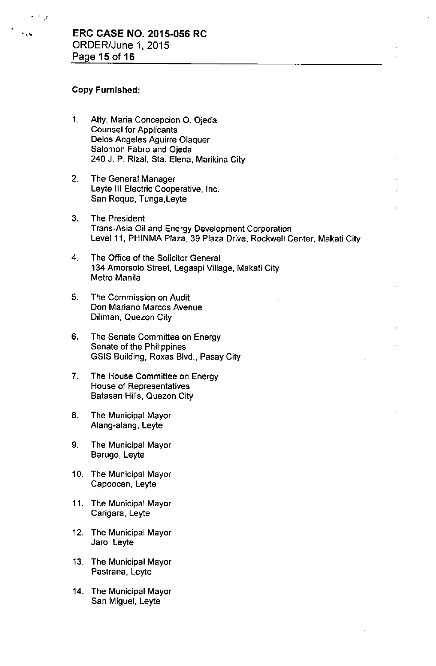#### Copy Furnished:

 $\mathcal{L}^{\mathcal{L}}$ 

- 1. Atty. Maria Concepcion O. Ojeda Counsel for Applicants Delos Angeles Aguirre Olaquer Salomon Fabro and Ojeda 240 J. P. Rizal, Sta. Elena, Marikina City
- 2. The General Manager Leyte III Electric Cooperative, Inc. San Roque, Tunga,Leyte
- 3. The President Trans-Asia Oil and Energy Development Corporation Level 11, PHINMA Plaza, 39 Plaza Drive, Rockwell Center, Makati City
- 4. The Office of the Solicitor General 134 Amorsolo Street, Legaspi Village, Makati City Metro Manila
- 5. The Commission on Audit **Don Mariano Marcos Avenue** Diliman, Quezon City
- 6. The Senate Committee on Energy Senate of the Philippines GSIS Building, Roxas Blvd., Pasay City
- 7. The House Committee on Energy House of Representatives Batasan Hills, Quezon City
- 8. The Municipal Mayor Alang-alang, Leyte
- 9. The Municipal Mayor Barugo, Leyte
- 10. The Municipal Mayor Capoocan, Leyte
- 11. The Municipal Mayor Carigara, Leyte
- 12. The Municipal Mayor Jaro, Leyte
- 13. The Municipal Mayor Pastrana, Leyte
- 14. The Municipal Mayor San Miguel, Leyte